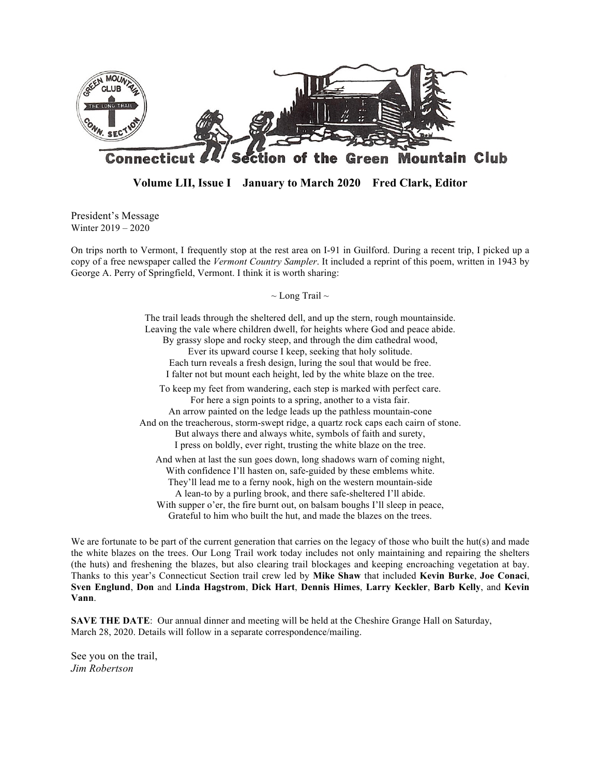

**Volume LII, Issue I January to March 2020 Fred Clark, Editor**

President's Message Winter 2019 – 2020

On trips north to Vermont, I frequently stop at the rest area on I-91 in Guilford. During a recent trip, I picked up a copy of a free newspaper called the *Vermont Country Sampler*. It included a reprint of this poem, written in 1943 by George A. Perry of Springfield, Vermont. I think it is worth sharing:

 $\sim$  Long Trail  $\sim$ 

The trail leads through the sheltered dell, and up the stern, rough mountainside. Leaving the vale where children dwell, for heights where God and peace abide. By grassy slope and rocky steep, and through the dim cathedral wood, Ever its upward course I keep, seeking that holy solitude. Each turn reveals a fresh design, luring the soul that would be free. I falter not but mount each height, led by the white blaze on the tree. To keep my feet from wandering, each step is marked with perfect care. For here a sign points to a spring, another to a vista fair. An arrow painted on the ledge leads up the pathless mountain-cone And on the treacherous, storm-swept ridge, a quartz rock caps each cairn of stone. But always there and always white, symbols of faith and surety, I press on boldly, ever right, trusting the white blaze on the tree. And when at last the sun goes down, long shadows warn of coming night, With confidence I'll hasten on, safe-guided by these emblems white. They'll lead me to a ferny nook, high on the western mountain-side A lean-to by a purling brook, and there safe-sheltered I'll abide. With supper o'er, the fire burnt out, on balsam boughs I'll sleep in peace,

Grateful to him who built the hut, and made the blazes on the trees.

We are fortunate to be part of the current generation that carries on the legacy of those who built the hut(s) and made the white blazes on the trees. Our Long Trail work today includes not only maintaining and repairing the shelters (the huts) and freshening the blazes, but also clearing trail blockages and keeping encroaching vegetation at bay. Thanks to this year's Connecticut Section trail crew led by **Mike Shaw** that included **Kevin Burke**, **Joe Conaci**, **Sven Englund**, **Don** and **Linda Hagstrom**, **Dick Hart**, **Dennis Himes**, **Larry Keckler**, **Barb Kelly**, and **Kevin Vann**.

**SAVE THE DATE:** Our annual dinner and meeting will be held at the Cheshire Grange Hall on Saturday, March 28, 2020. Details will follow in a separate correspondence/mailing.

See you on the trail, *Jim Robertson*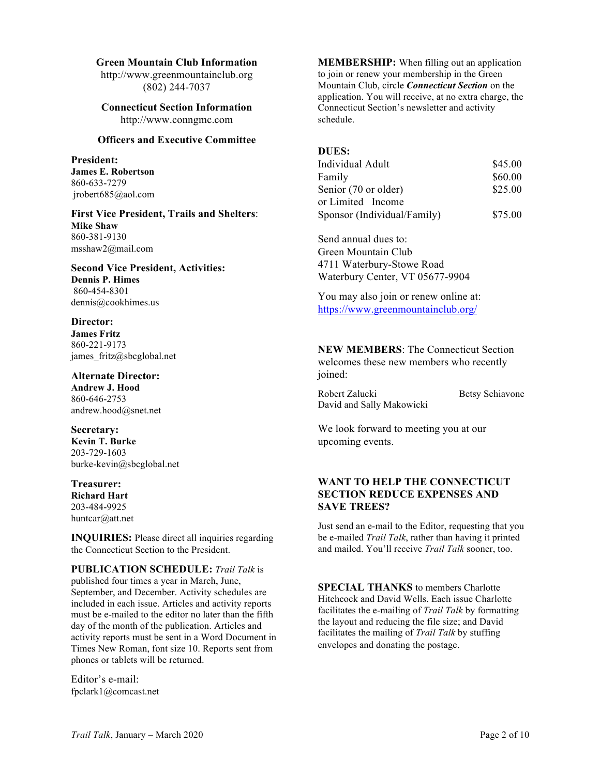#### **Green Mountain Club Information**

http://www.greenmountainclub.org (802) 244-7037

**Connecticut Section Information** http://www.conngmc.com

### **Officers and Executive Committee**

**President: James E. Robertson** 860-633-7279 jrobert685@aol.com

**First Vice President, Trails and Shelters**: **Mike Shaw** 860-381-9130 msshaw2@mail.com

#### **Second Vice President, Activities: Dennis P. Himes** 860-454-8301 dennis@cookhimes.us

**Director: James Fritz** 860-221-9173 james fritz@sbcglobal.net

**Alternate Director: Andrew J. Hood** 860-646-2753 andrew.hood@snet.net

**Secretary: Kevin T. Burke** 203-729-1603 burke-kevin@sbcglobal.net

#### **Treasurer: Richard Hart** 203-484-9925 huntcar@att.net

**INQUIRIES:** Please direct all inquiries regarding the Connecticut Section to the President.

**PUBLICATION SCHEDULE:** *Trail Talk* is published four times a year in March, June, September, and December. Activity schedules are included in each issue. Articles and activity reports must be e-mailed to the editor no later than the fifth day of the month of the publication. Articles and activity reports must be sent in a Word Document in Times New Roman, font size 10. Reports sent from phones or tablets will be returned.

Editor's e-mail: fpclark1@comcast.net **MEMBERSHIP:** When filling out an application to join or renew your membership in the Green Mountain Club, circle *Connecticut Section* on the application. You will receive, at no extra charge, the Connecticut Section's newsletter and activity schedule.

#### **DUES:**

| Individual Adult            | \$45.00 |
|-----------------------------|---------|
| Family                      | \$60.00 |
| Senior (70 or older)        | \$25.00 |
| or Limited Income           |         |
| Sponsor (Individual/Family) | \$75.00 |

Send annual dues to: Green Mountain Club 4711 Waterbury-Stowe Road Waterbury Center, VT 05677-9904

You may also join or renew online at: https://www.greenmountainclub.org/

**NEW MEMBERS**: The Connecticut Section welcomes these new members who recently joined:

Robert Zalucki Betsy Schiavone David and Sally Makowicki

We look forward to meeting you at our upcoming events.

## **WANT TO HELP THE CONNECTICUT SECTION REDUCE EXPENSES AND SAVE TREES?**

Just send an e-mail to the Editor, requesting that you be e-mailed *Trail Talk*, rather than having it printed and mailed. You'll receive *Trail Talk* sooner, too.

**SPECIAL THANKS** to members Charlotte Hitchcock and David Wells. Each issue Charlotte facilitates the e-mailing of *Trail Talk* by formatting the layout and reducing the file size; and David facilitates the mailing of *Trail Talk* by stuffing envelopes and donating the postage.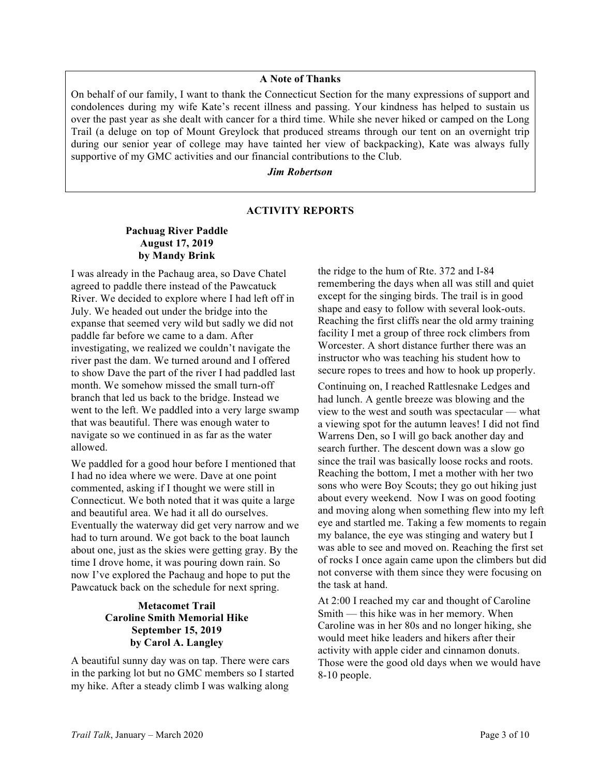### **A Note of Thanks**

On behalf of our family, I want to thank the Connecticut Section for the many expressions of support and condolences during my wife Kate's recent illness and passing. Your kindness has helped to sustain us over the past year as she dealt with cancer for a third time. While she never hiked or camped on the Long Trail (a deluge on top of Mount Greylock that produced streams through our tent on an overnight trip during our senior year of college may have tainted her view of backpacking), Kate was always fully supportive of my GMC activities and our financial contributions to the Club.

## *Jim Robertson*

## **ACTIVITY REPORTS**

## **Pachuag River Paddle August 17, 2019 by Mandy Brink**

I was already in the Pachaug area, so Dave Chatel agreed to paddle there instead of the Pawcatuck River. We decided to explore where I had left off in July. We headed out under the bridge into the expanse that seemed very wild but sadly we did not paddle far before we came to a dam. After investigating, we realized we couldn't navigate the river past the dam. We turned around and I offered to show Dave the part of the river I had paddled last month. We somehow missed the small turn-off branch that led us back to the bridge. Instead we went to the left. We paddled into a very large swamp that was beautiful. There was enough water to navigate so we continued in as far as the water allowed.

We paddled for a good hour before I mentioned that I had no idea where we were. Dave at one point commented, asking if I thought we were still in Connecticut. We both noted that it was quite a large and beautiful area. We had it all do ourselves. Eventually the waterway did get very narrow and we had to turn around. We got back to the boat launch about one, just as the skies were getting gray. By the time I drove home, it was pouring down rain. So now I've explored the Pachaug and hope to put the Pawcatuck back on the schedule for next spring.

## **Metacomet Trail Caroline Smith Memorial Hike September 15, 2019 by Carol A. Langley**

A beautiful sunny day was on tap. There were cars in the parking lot but no GMC members so I started my hike. After a steady climb I was walking along

the ridge to the hum of Rte. 372 and I-84 remembering the days when all was still and quiet except for the singing birds. The trail is in good shape and easy to follow with several look-outs. Reaching the first cliffs near the old army training facility I met a group of three rock climbers from Worcester. A short distance further there was an instructor who was teaching his student how to secure ropes to trees and how to hook up properly.

Continuing on, I reached Rattlesnake Ledges and had lunch. A gentle breeze was blowing and the view to the west and south was spectacular — what a viewing spot for the autumn leaves! I did not find Warrens Den, so I will go back another day and search further. The descent down was a slow go since the trail was basically loose rocks and roots. Reaching the bottom, I met a mother with her two sons who were Boy Scouts; they go out hiking just about every weekend. Now I was on good footing and moving along when something flew into my left eye and startled me. Taking a few moments to regain my balance, the eye was stinging and watery but I was able to see and moved on. Reaching the first set of rocks I once again came upon the climbers but did not converse with them since they were focusing on the task at hand.

At 2:00 I reached my car and thought of Caroline Smith — this hike was in her memory. When Caroline was in her 80s and no longer hiking, she would meet hike leaders and hikers after their activity with apple cider and cinnamon donuts. Those were the good old days when we would have 8-10 people.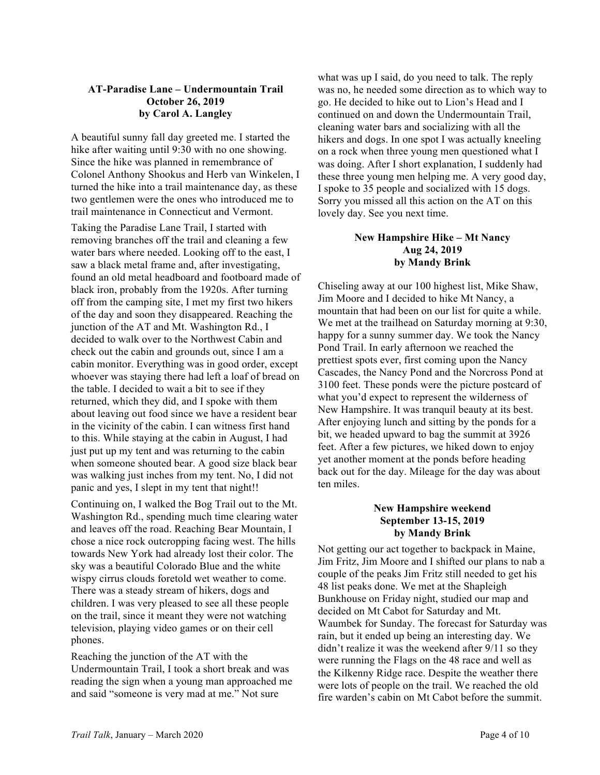## **AT-Paradise Lane – Undermountain Trail October 26, 2019 by Carol A. Langley**

A beautiful sunny fall day greeted me. I started the hike after waiting until 9:30 with no one showing. Since the hike was planned in remembrance of Colonel Anthony Shookus and Herb van Winkelen, I turned the hike into a trail maintenance day, as these two gentlemen were the ones who introduced me to trail maintenance in Connecticut and Vermont.

Taking the Paradise Lane Trail, I started with removing branches off the trail and cleaning a few water bars where needed. Looking off to the east, I saw a black metal frame and, after investigating, found an old metal headboard and footboard made of black iron, probably from the 1920s. After turning off from the camping site, I met my first two hikers of the day and soon they disappeared. Reaching the junction of the AT and Mt. Washington Rd., I decided to walk over to the Northwest Cabin and check out the cabin and grounds out, since I am a cabin monitor. Everything was in good order, except whoever was staying there had left a loaf of bread on the table. I decided to wait a bit to see if they returned, which they did, and I spoke with them about leaving out food since we have a resident bear in the vicinity of the cabin. I can witness first hand to this. While staying at the cabin in August, I had just put up my tent and was returning to the cabin when someone shouted bear. A good size black bear was walking just inches from my tent. No, I did not panic and yes, I slept in my tent that night!!

Continuing on, I walked the Bog Trail out to the Mt. Washington Rd., spending much time clearing water and leaves off the road. Reaching Bear Mountain, I chose a nice rock outcropping facing west. The hills towards New York had already lost their color. The sky was a beautiful Colorado Blue and the white wispy cirrus clouds foretold wet weather to come. There was a steady stream of hikers, dogs and children. I was very pleased to see all these people on the trail, since it meant they were not watching television, playing video games or on their cell phones.

Reaching the junction of the AT with the Undermountain Trail, I took a short break and was reading the sign when a young man approached me and said "someone is very mad at me." Not sure

what was up I said, do you need to talk. The reply was no, he needed some direction as to which way to go. He decided to hike out to Lion's Head and I continued on and down the Undermountain Trail, cleaning water bars and socializing with all the hikers and dogs. In one spot I was actually kneeling on a rock when three young men questioned what I was doing. After I short explanation, I suddenly had these three young men helping me. A very good day, I spoke to 35 people and socialized with 15 dogs. Sorry you missed all this action on the AT on this lovely day. See you next time.

## **New Hampshire Hike – Mt Nancy Aug 24, 2019 by Mandy Brink**

Chiseling away at our 100 highest list, Mike Shaw, Jim Moore and I decided to hike Mt Nancy, a mountain that had been on our list for quite a while. We met at the trailhead on Saturday morning at 9:30, happy for a sunny summer day. We took the Nancy Pond Trail. In early afternoon we reached the prettiest spots ever, first coming upon the Nancy Cascades, the Nancy Pond and the Norcross Pond at 3100 feet. These ponds were the picture postcard of what you'd expect to represent the wilderness of New Hampshire. It was tranquil beauty at its best. After enjoying lunch and sitting by the ponds for a bit, we headed upward to bag the summit at 3926 feet. After a few pictures, we hiked down to enjoy yet another moment at the ponds before heading back out for the day. Mileage for the day was about ten miles.

## **New Hampshire weekend September 13-15, 2019 by Mandy Brink**

Not getting our act together to backpack in Maine, Jim Fritz, Jim Moore and I shifted our plans to nab a couple of the peaks Jim Fritz still needed to get his 48 list peaks done. We met at the Shapleigh Bunkhouse on Friday night, studied our map and decided on Mt Cabot for Saturday and Mt. Waumbek for Sunday. The forecast for Saturday was rain, but it ended up being an interesting day. We didn't realize it was the weekend after 9/11 so they were running the Flags on the 48 race and well as the Kilkenny Ridge race. Despite the weather there were lots of people on the trail. We reached the old fire warden's cabin on Mt Cabot before the summit.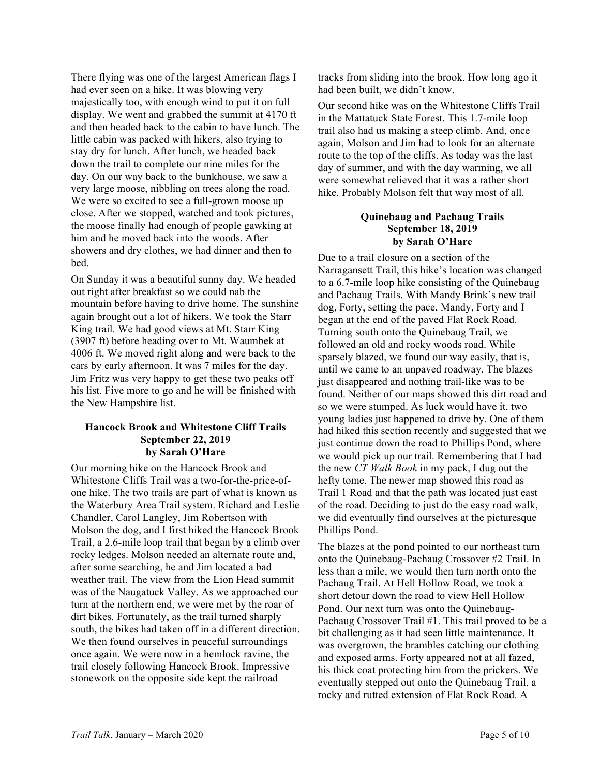There flying was one of the largest American flags I had ever seen on a hike. It was blowing very majestically too, with enough wind to put it on full display. We went and grabbed the summit at 4170 ft and then headed back to the cabin to have lunch. The little cabin was packed with hikers, also trying to stay dry for lunch. After lunch, we headed back down the trail to complete our nine miles for the day. On our way back to the bunkhouse, we saw a very large moose, nibbling on trees along the road. We were so excited to see a full-grown moose up close. After we stopped, watched and took pictures, the moose finally had enough of people gawking at him and he moved back into the woods. After showers and dry clothes, we had dinner and then to bed.

On Sunday it was a beautiful sunny day. We headed out right after breakfast so we could nab the mountain before having to drive home. The sunshine again brought out a lot of hikers. We took the Starr King trail. We had good views at Mt. Starr King (3907 ft) before heading over to Mt. Waumbek at 4006 ft. We moved right along and were back to the cars by early afternoon. It was 7 miles for the day. Jim Fritz was very happy to get these two peaks off his list. Five more to go and he will be finished with the New Hampshire list.

## **Hancock Brook and Whitestone Cliff Trails September 22, 2019 by Sarah O'Hare**

Our morning hike on the Hancock Brook and Whitestone Cliffs Trail was a two-for-the-price-ofone hike. The two trails are part of what is known as the Waterbury Area Trail system. Richard and Leslie Chandler, Carol Langley, Jim Robertson with Molson the dog, and I first hiked the Hancock Brook Trail, a 2.6-mile loop trail that began by a climb over rocky ledges. Molson needed an alternate route and, after some searching, he and Jim located a bad weather trail. The view from the Lion Head summit was of the Naugatuck Valley. As we approached our turn at the northern end, we were met by the roar of dirt bikes. Fortunately, as the trail turned sharply south, the bikes had taken off in a different direction. We then found ourselves in peaceful surroundings once again. We were now in a hemlock ravine, the trail closely following Hancock Brook. Impressive stonework on the opposite side kept the railroad

tracks from sliding into the brook. How long ago it had been built, we didn't know.

Our second hike was on the Whitestone Cliffs Trail in the Mattatuck State Forest. This 1.7-mile loop trail also had us making a steep climb. And, once again, Molson and Jim had to look for an alternate route to the top of the cliffs. As today was the last day of summer, and with the day warming, we all were somewhat relieved that it was a rather short hike. Probably Molson felt that way most of all.

## **Quinebaug and Pachaug Trails September 18, 2019 by Sarah O'Hare**

Due to a trail closure on a section of the Narragansett Trail, this hike's location was changed to a 6.7-mile loop hike consisting of the Quinebaug and Pachaug Trails. With Mandy Brink's new trail dog, Forty, setting the pace, Mandy, Forty and I began at the end of the paved Flat Rock Road. Turning south onto the Quinebaug Trail, we followed an old and rocky woods road. While sparsely blazed, we found our way easily, that is, until we came to an unpaved roadway. The blazes just disappeared and nothing trail-like was to be found. Neither of our maps showed this dirt road and so we were stumped. As luck would have it, two young ladies just happened to drive by. One of them had hiked this section recently and suggested that we just continue down the road to Phillips Pond, where we would pick up our trail. Remembering that I had the new *CT Walk Book* in my pack, I dug out the hefty tome. The newer map showed this road as Trail 1 Road and that the path was located just east of the road. Deciding to just do the easy road walk, we did eventually find ourselves at the picturesque Phillips Pond.

The blazes at the pond pointed to our northeast turn onto the Quinebaug-Pachaug Crossover #2 Trail. In less than a mile, we would then turn north onto the Pachaug Trail. At Hell Hollow Road, we took a short detour down the road to view Hell Hollow Pond. Our next turn was onto the Quinebaug-Pachaug Crossover Trail #1. This trail proved to be a bit challenging as it had seen little maintenance. It was overgrown, the brambles catching our clothing and exposed arms. Forty appeared not at all fazed, his thick coat protecting him from the prickers. We eventually stepped out onto the Quinebaug Trail, a rocky and rutted extension of Flat Rock Road. A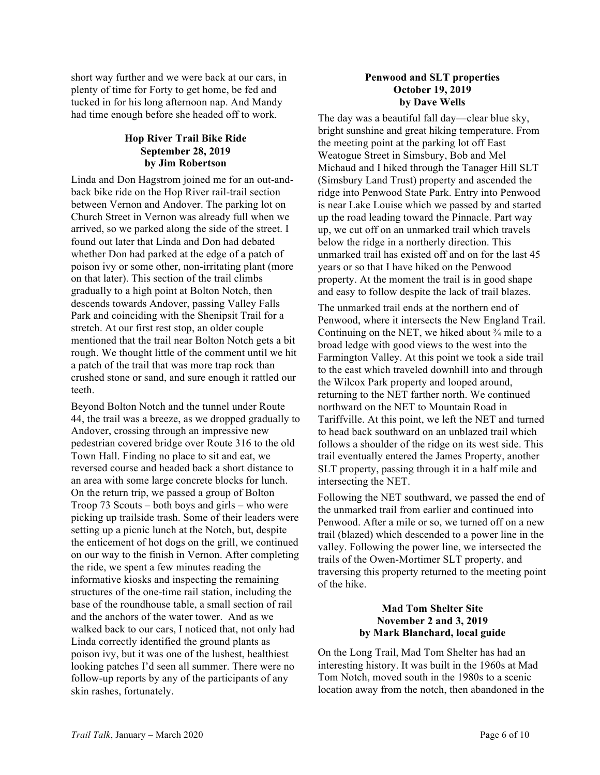short way further and we were back at our cars, in plenty of time for Forty to get home, be fed and tucked in for his long afternoon nap. And Mandy had time enough before she headed off to work.

## **Hop River Trail Bike Ride September 28, 2019 by Jim Robertson**

Linda and Don Hagstrom joined me for an out-andback bike ride on the Hop River rail-trail section between Vernon and Andover. The parking lot on Church Street in Vernon was already full when we arrived, so we parked along the side of the street. I found out later that Linda and Don had debated whether Don had parked at the edge of a patch of poison ivy or some other, non-irritating plant (more on that later). This section of the trail climbs gradually to a high point at Bolton Notch, then descends towards Andover, passing Valley Falls Park and coinciding with the Shenipsit Trail for a stretch. At our first rest stop, an older couple mentioned that the trail near Bolton Notch gets a bit rough. We thought little of the comment until we hit a patch of the trail that was more trap rock than crushed stone or sand, and sure enough it rattled our teeth.

Beyond Bolton Notch and the tunnel under Route 44, the trail was a breeze, as we dropped gradually to Andover, crossing through an impressive new pedestrian covered bridge over Route 316 to the old Town Hall. Finding no place to sit and eat, we reversed course and headed back a short distance to an area with some large concrete blocks for lunch. On the return trip, we passed a group of Bolton Troop 73 Scouts – both boys and girls – who were picking up trailside trash. Some of their leaders were setting up a picnic lunch at the Notch, but, despite the enticement of hot dogs on the grill, we continued on our way to the finish in Vernon. After completing the ride, we spent a few minutes reading the informative kiosks and inspecting the remaining structures of the one-time rail station, including the base of the roundhouse table, a small section of rail and the anchors of the water tower. And as we walked back to our cars, I noticed that, not only had Linda correctly identified the ground plants as poison ivy, but it was one of the lushest, healthiest looking patches I'd seen all summer. There were no follow-up reports by any of the participants of any skin rashes, fortunately.

## **Penwood and SLT properties October 19, 2019 by Dave Wells**

The day was a beautiful fall day—clear blue sky, bright sunshine and great hiking temperature. From the meeting point at the parking lot off East Weatogue Street in Simsbury, Bob and Mel Michaud and I hiked through the Tanager Hill SLT (Simsbury Land Trust) property and ascended the ridge into Penwood State Park. Entry into Penwood is near Lake Louise which we passed by and started up the road leading toward the Pinnacle. Part way up, we cut off on an unmarked trail which travels below the ridge in a northerly direction. This unmarked trail has existed off and on for the last 45 years or so that I have hiked on the Penwood property. At the moment the trail is in good shape and easy to follow despite the lack of trail blazes.

The unmarked trail ends at the northern end of Penwood, where it intersects the New England Trail. Continuing on the NET, we hiked about  $\frac{3}{4}$  mile to a broad ledge with good views to the west into the Farmington Valley. At this point we took a side trail to the east which traveled downhill into and through the Wilcox Park property and looped around, returning to the NET farther north. We continued northward on the NET to Mountain Road in Tariffville. At this point, we left the NET and turned to head back southward on an unblazed trail which follows a shoulder of the ridge on its west side. This trail eventually entered the James Property, another SLT property, passing through it in a half mile and intersecting the NET.

Following the NET southward, we passed the end of the unmarked trail from earlier and continued into Penwood. After a mile or so, we turned off on a new trail (blazed) which descended to a power line in the valley. Following the power line, we intersected the trails of the Owen-Mortimer SLT property, and traversing this property returned to the meeting point of the hike.

## **Mad Tom Shelter Site November 2 and 3, 2019 by Mark Blanchard, local guide**

On the Long Trail, Mad Tom Shelter has had an interesting history. It was built in the 1960s at Mad Tom Notch, moved south in the 1980s to a scenic location away from the notch, then abandoned in the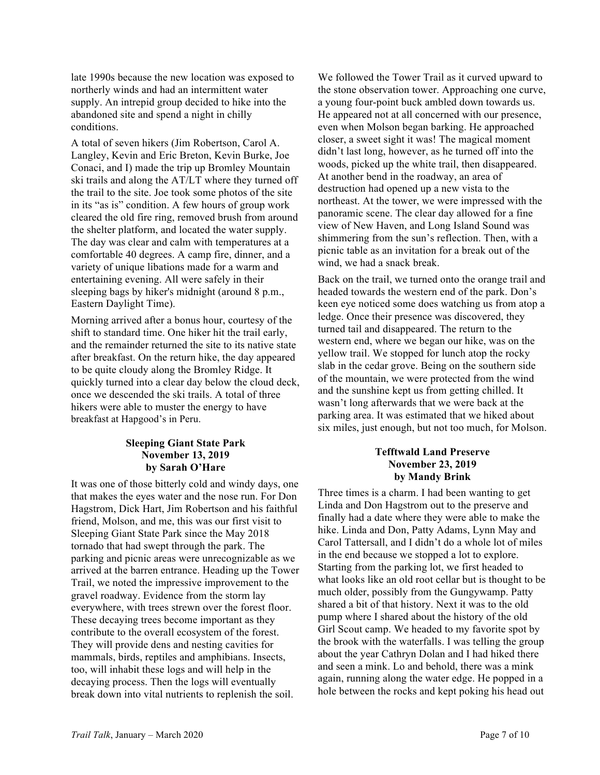late 1990s because the new location was exposed to northerly winds and had an intermittent water supply. An intrepid group decided to hike into the abandoned site and spend a night in chilly conditions.

A total of seven hikers (Jim Robertson, Carol A. Langley, Kevin and Eric Breton, Kevin Burke, Joe Conaci, and I) made the trip up Bromley Mountain ski trails and along the AT/LT where they turned off the trail to the site. Joe took some photos of the site in its "as is" condition. A few hours of group work cleared the old fire ring, removed brush from around the shelter platform, and located the water supply. The day was clear and calm with temperatures at a comfortable 40 degrees. A camp fire, dinner, and a variety of unique libations made for a warm and entertaining evening. All were safely in their sleeping bags by hiker's midnight (around 8 p.m., Eastern Daylight Time).

Morning arrived after a bonus hour, courtesy of the shift to standard time. One hiker hit the trail early, and the remainder returned the site to its native state after breakfast. On the return hike, the day appeared to be quite cloudy along the Bromley Ridge. It quickly turned into a clear day below the cloud deck, once we descended the ski trails. A total of three hikers were able to muster the energy to have breakfast at Hapgood's in Peru.

## **Sleeping Giant State Park November 13, 2019 by Sarah O'Hare**

It was one of those bitterly cold and windy days, one that makes the eyes water and the nose run. For Don Hagstrom, Dick Hart, Jim Robertson and his faithful friend, Molson, and me, this was our first visit to Sleeping Giant State Park since the May 2018 tornado that had swept through the park. The parking and picnic areas were unrecognizable as we arrived at the barren entrance. Heading up the Tower Trail, we noted the impressive improvement to the gravel roadway. Evidence from the storm lay everywhere, with trees strewn over the forest floor. These decaying trees become important as they contribute to the overall ecosystem of the forest. They will provide dens and nesting cavities for mammals, birds, reptiles and amphibians. Insects, too, will inhabit these logs and will help in the decaying process. Then the logs will eventually break down into vital nutrients to replenish the soil.

We followed the Tower Trail as it curved upward to the stone observation tower. Approaching one curve, a young four-point buck ambled down towards us. He appeared not at all concerned with our presence, even when Molson began barking. He approached closer, a sweet sight it was! The magical moment didn't last long, however, as he turned off into the woods, picked up the white trail, then disappeared. At another bend in the roadway, an area of destruction had opened up a new vista to the northeast. At the tower, we were impressed with the panoramic scene. The clear day allowed for a fine view of New Haven, and Long Island Sound was shimmering from the sun's reflection. Then, with a picnic table as an invitation for a break out of the wind, we had a snack break.

Back on the trail, we turned onto the orange trail and headed towards the western end of the park. Don's keen eye noticed some does watching us from atop a ledge. Once their presence was discovered, they turned tail and disappeared. The return to the western end, where we began our hike, was on the yellow trail. We stopped for lunch atop the rocky slab in the cedar grove. Being on the southern side of the mountain, we were protected from the wind and the sunshine kept us from getting chilled. It wasn't long afterwards that we were back at the parking area. It was estimated that we hiked about six miles, just enough, but not too much, for Molson.

## **Tefftwald Land Preserve November 23, 2019 by Mandy Brink**

Three times is a charm. I had been wanting to get Linda and Don Hagstrom out to the preserve and finally had a date where they were able to make the hike. Linda and Don, Patty Adams, Lynn May and Carol Tattersall, and I didn't do a whole lot of miles in the end because we stopped a lot to explore. Starting from the parking lot, we first headed to what looks like an old root cellar but is thought to be much older, possibly from the Gungywamp. Patty shared a bit of that history. Next it was to the old pump where I shared about the history of the old Girl Scout camp. We headed to my favorite spot by the brook with the waterfalls. I was telling the group about the year Cathryn Dolan and I had hiked there and seen a mink. Lo and behold, there was a mink again, running along the water edge. He popped in a hole between the rocks and kept poking his head out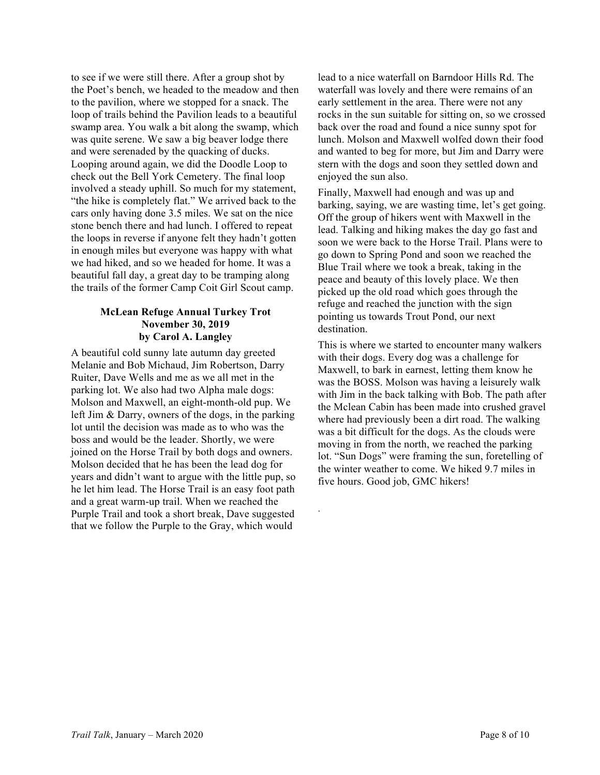to see if we were still there. After a group shot by the Poet's bench, we headed to the meadow and then to the pavilion, where we stopped for a snack. The loop of trails behind the Pavilion leads to a beautiful swamp area. You walk a bit along the swamp, which was quite serene. We saw a big beaver lodge there and were serenaded by the quacking of ducks. Looping around again, we did the Doodle Loop to check out the Bell York Cemetery. The final loop involved a steady uphill. So much for my statement, "the hike is completely flat." We arrived back to the cars only having done 3.5 miles. We sat on the nice stone bench there and had lunch. I offered to repeat the loops in reverse if anyone felt they hadn't gotten in enough miles but everyone was happy with what we had hiked, and so we headed for home. It was a beautiful fall day, a great day to be tramping along the trails of the former Camp Coit Girl Scout camp.

### **McLean Refuge Annual Turkey Trot November 30, 2019 by Carol A. Langley**

A beautiful cold sunny late autumn day greeted Melanie and Bob Michaud, Jim Robertson, Darry Ruiter, Dave Wells and me as we all met in the parking lot. We also had two Alpha male dogs: Molson and Maxwell, an eight-month-old pup. We left Jim & Darry, owners of the dogs, in the parking lot until the decision was made as to who was the boss and would be the leader. Shortly, we were joined on the Horse Trail by both dogs and owners. Molson decided that he has been the lead dog for years and didn't want to argue with the little pup, so he let him lead. The Horse Trail is an easy foot path and a great warm-up trail. When we reached the Purple Trail and took a short break, Dave suggested that we follow the Purple to the Gray, which would

lead to a nice waterfall on Barndoor Hills Rd. The waterfall was lovely and there were remains of an early settlement in the area. There were not any rocks in the sun suitable for sitting on, so we crossed back over the road and found a nice sunny spot for lunch. Molson and Maxwell wolfed down their food and wanted to beg for more, but Jim and Darry were stern with the dogs and soon they settled down and enjoyed the sun also.

Finally, Maxwell had enough and was up and barking, saying, we are wasting time, let's get going. Off the group of hikers went with Maxwell in the lead. Talking and hiking makes the day go fast and soon we were back to the Horse Trail. Plans were to go down to Spring Pond and soon we reached the Blue Trail where we took a break, taking in the peace and beauty of this lovely place. We then picked up the old road which goes through the refuge and reached the junction with the sign pointing us towards Trout Pond, our next destination.

This is where we started to encounter many walkers with their dogs. Every dog was a challenge for Maxwell, to bark in earnest, letting them know he was the BOSS. Molson was having a leisurely walk with Jim in the back talking with Bob. The path after the Mclean Cabin has been made into crushed gravel where had previously been a dirt road. The walking was a bit difficult for the dogs. As the clouds were moving in from the north, we reached the parking lot. "Sun Dogs" were framing the sun, foretelling of the winter weather to come. We hiked 9.7 miles in five hours. Good job, GMC hikers!

.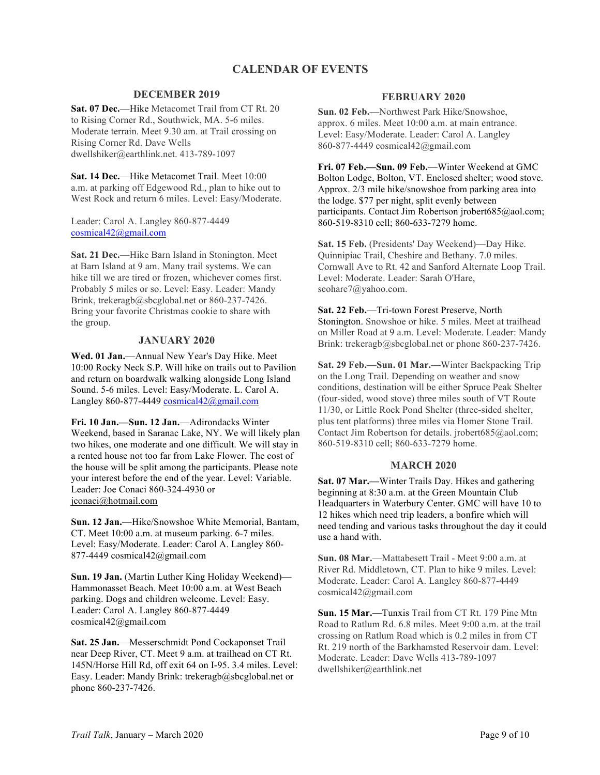## **CALENDAR OF EVENTS**

### **DECEMBER 2019**

**Sat. 07 Dec.**—Hike Metacomet Trail from CT Rt. 20 to Rising Corner Rd., Southwick, MA. 5-6 miles. Moderate terrain. Meet 9.30 am. at Trail crossing on Rising Corner Rd. Dave Wells dwellshiker@earthlink.net. 413-789-1097

**Sat. 14 Dec.**—Hike Metacomet Trail. Meet 10:00 a.m. at parking off Edgewood Rd., plan to hike out to West Rock and return 6 miles. Level: Easy/Moderate.

Leader: Carol A. Langley 860-877-4449 cosmical42@gmail.com

**Sat. 21 Dec.**—Hike Barn Island in Stonington. Meet at Barn Island at 9 am. Many trail systems. We can hike till we are tired or frozen, whichever comes first. Probably 5 miles or so. Level: Easy. Leader: Mandy Brink, trekeragb@sbcglobal.net or 860-237-7426. Bring your favorite Christmas cookie to share with the group.

#### **JANUARY 2020**

**Wed. 01 Jan.**—Annual New Year's Day Hike. Meet 10:00 Rocky Neck S.P. Will hike on trails out to Pavilion and return on boardwalk walking alongside Long Island Sound. 5-6 miles. Level: Easy/Moderate. L. Carol A. Langley 860-877-4449  $cosmical42$ @gmail.com

**Fri. 10 Jan.—Sun. 12 Jan.**—Adirondacks Winter Weekend, based in Saranac Lake, NY. We will likely plan two hikes, one moderate and one difficult. We will stay in a rented house not too far from Lake Flower. The cost of the house will be split among the participants. Please note your interest before the end of the year. Level: Variable. Leader: Joe Conaci 860-324-4930 or jconaci@hotmail.com

**Sun. 12 Jan.**—Hike/Snowshoe White Memorial, Bantam, CT. Meet 10:00 a.m. at museum parking. 6-7 miles. Level: Easy/Moderate. Leader: Carol A. Langley 860- 877-4449 cosmical42@gmail.com

**Sun. 19 Jan.** (Martin Luther King Holiday Weekend)— Hammonasset Beach. Meet 10:00 a.m. at West Beach parking. Dogs and children welcome. Level: Easy. Leader: Carol A. Langley 860-877-4449 cosmical42@gmail.com

**Sat. 25 Jan.**—Messerschmidt Pond Cockaponset Trail near Deep River, CT. Meet 9 a.m. at trailhead on CT Rt. 145N/Horse Hill Rd, off exit 64 on I-95. 3.4 miles. Level: Easy. Leader: Mandy Brink: trekeragb@sbcglobal.net or phone 860-237-7426.

## **FEBRUARY 2020**

**Sun. 02 Feb.**—Northwest Park Hike/Snowshoe, approx. 6 miles. Meet 10:00 a.m. at main entrance. Level: Easy/Moderate. Leader: Carol A. Langley 860-877-4449 cosmical42@gmail.com

**Fri. 07 Feb.—Sun. 09 Feb.**—Winter Weekend at GMC Bolton Lodge, Bolton, VT. Enclosed shelter; wood stove. Approx. 2/3 mile hike/snowshoe from parking area into the lodge. \$77 per night, split evenly between participants. Contact Jim Robertson jrobert685@aol.com; 860-519-8310 cell; 860-633-7279 home.

**Sat. 15 Feb.** (Presidents' Day Weekend)—Day Hike. Quinnipiac Trail, Cheshire and Bethany. 7.0 miles. Cornwall Ave to Rt. 42 and Sanford Alternate Loop Trail. Level: Moderate. Leader: Sarah O'Hare, seohare7@yahoo.com.

#### **Sat. 22 Feb.**—Tri-town Forest Preserve, North Stonington. Snowshoe or hike. 5 miles. Meet at trailhead on Miller Road at 9 a.m. Level: Moderate. Leader: Mandy

Brink: trekeragb@sbcglobal.net or phone 860-237-7426.

**Sat. 29 Feb.—Sun. 01 Mar.—**Winter Backpacking Trip on the Long Trail. Depending on weather and snow conditions, destination will be either Spruce Peak Shelter (four-sided, wood stove) three miles south of VT Route 11/30, or Little Rock Pond Shelter (three-sided shelter, plus tent platforms) three miles via Homer Stone Trail. Contact Jim Robertson for details. jrobert685@aol.com; 860-519-8310 cell; 860-633-7279 home.

#### **MARCH 2020**

**Sat. 07 Mar.—**Winter Trails Day. Hikes and gathering beginning at 8:30 a.m. at the Green Mountain Club Headquarters in Waterbury Center. GMC will have 10 to 12 hikes which need trip leaders, a bonfire which will need tending and various tasks throughout the day it could use a hand with.

**Sun. 08 Mar.**—Mattabesett Trail - Meet 9:00 a.m. at River Rd. Middletown, CT. Plan to hike 9 miles. Level: Moderate. Leader: Carol A. Langley 860-877-4449 cosmical42@gmail.com

**Sun. 15 Mar.**—Tunxis Trail from CT Rt. 179 Pine Mtn Road to Ratlum Rd. 6.8 miles. Meet 9:00 a.m. at the trail crossing on Ratlum Road which is 0.2 miles in from CT Rt. 219 north of the Barkhamsted Reservoir dam. Level: Moderate. Leader: Dave Wells 413-789-1097 dwellshiker@earthlink.net